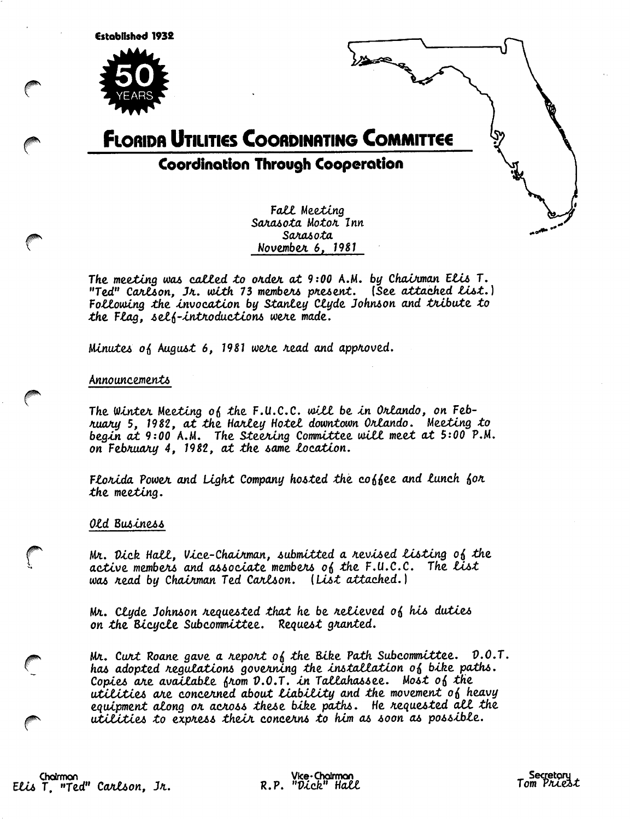

# **FLORIDA UTILITIES COORDINATING COMMITTEE Coordination Through Cooperation**

Fall Meeting Sarasota Motor Inn Sarasota November 6, 1981

ھصدد

The meeting was called to order at 9:00 A.M. by Chairman Elis T. "Ted" Carlson, Ir. with 73 members present. (See attached list.) Following the invocation by Stanley Clyde Johnson and tribute to the Flag, self-introductions were made.

Minutes of August 6, 1981 were read and approved.

Announcements

The Winter Meeting of the F.U.C.C. will be in Orlando, on February 5, 1982, at the Harley Hotel downtown Orlando. Meeting to begin at 9:00 A.M. The Steering Committee will meet at 5:00 P.M.<br>on February 4, 1982, at the same location.

Florida Power and Light Company hosted the coffee and lunch for the meeting.

## Old Business

Mr. Dick Hall, Vice-Chairman, submitted a revised listing of the active members and associate members of the  $F.U.C.C.$  The list was read by Chairman Ted Carlson. (List attached.)

Mr. Clyde Johnson requested that he be relieved of his duties on the Bicycle Subcommittee. Request granted.

Mr. Curt Roane gave a report of the Bike Path Subcommittee.  $0.0.7.$ has adopted regulations governing the installation of bike paths. Copies are available from  $0.0.7$ . in Tallahassee. Most of the utilities are concerned about liability and the movement of heavy equipment along or across these bike paths. He requested all the utilities to express their concerns to him as soon as possible.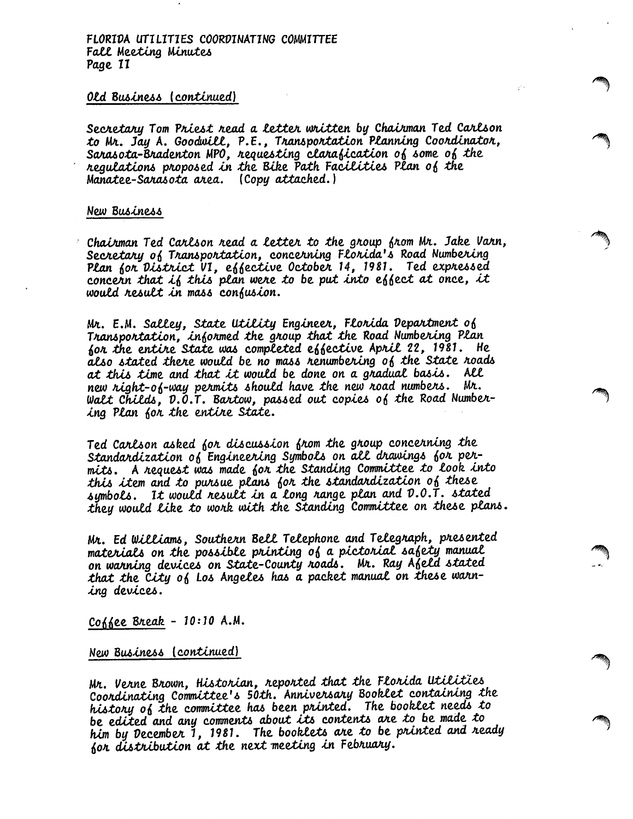## Old Business (continued)

Secretary Tom Priest read a letter written by Chairman Ted Carlson to Mr. Jay A. Goodwill, P.E., Transportation Planning Coordinator, Sarasota-Bradenton MPO, requesting clarafication of some of the negulations proposed in the Bike Path Facilities Plan of the Manatee-Sarasota area. (Copy attached.)

#### New Business

Chairman Ted Carlson read a letter to the group from Mr. Jake Varn, Secretary of Transportation, concerning Florida's Road Numbering Plan for District VI, effective October 14, 1981. Ted expressed concern that if this plan were to be put into effect at once, it would result in mass confusion.

Mr. E.M. Salley, State Utility Engineer, Florida Department of Transportation, informed the group that the Road Numbering Plan for the entire State was completed effective April 22, 1981. He also stated there would be no mass renumbering of the State roads at this time and that it would be done on a gradual basis. All new right-of-way permits should have the new road numbers. Mr. Walt Childs, D.O.T. Bartow, passed out copies of the Road Numbering Plan for the entire State.

Ted Carlson asked for discussion from the group concerning the Standardization of Engineering Symbols on all drawings for permits. A request was made for the Standing Committee to look into this item and to pursue plans for the standardization of these symbols. It would result in a long range plan and D.O.T. stated they would like to work with the Standing Committee on these plans.

Mr. Ed Williams, Southern Bell Telephone and Telegraph, presented materials on the possible printing of a pictorial safety manual on warning devices on State-County roads. Mr. Ray Afeld stated that the City of Los Angeles has a packet manual on these warning devices.

Coffee Break - 10:10 A.M.

New Business (continued)

Mr. Verne Brown, Historian, reported that the Florida Utilities Coordinating Committee's 50th. Anniversary Booklet containing the history of the committee has been printed. The booklet needs to be edited and any comments about its contents are to be made to him by December 1, 1981. The booklets are to be printed and ready for distribution at the next meeting in February.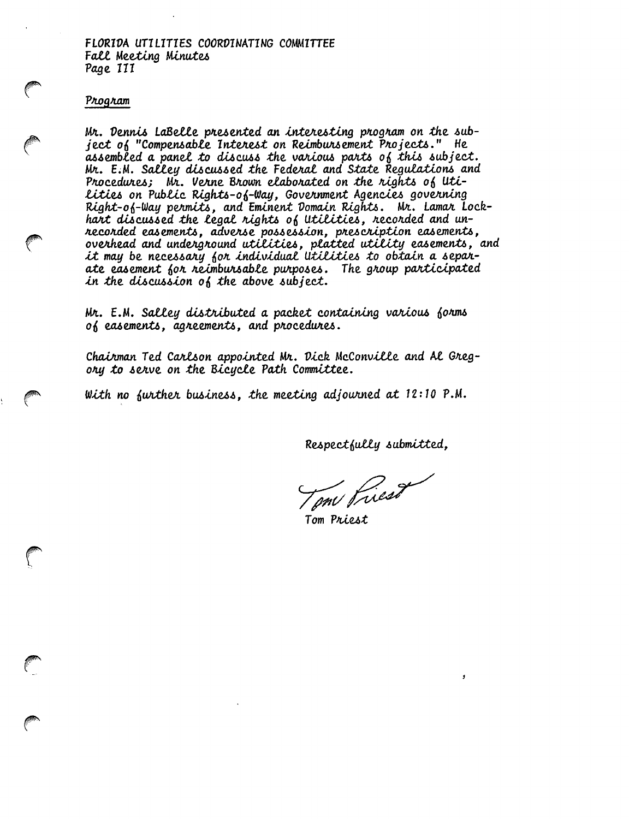FLORIDA UTILITIES COORDINATING COMMITTEE **Fall Meeting Minutes** Page III

#### Program

Mr. Dennis LaBelle presented an interesting program on the subject of "Compensable Interest on Reimbursement Projects." He assembled a panel to discuss the various parts of this subject. Mr. E.M. Salley discussed the Federal and State Regulations and Procedures; Mr. Verne Brown elaborated on the rights of Uti-Lities on Public Rights-of-Way, Government Agencies governing Right-of-Way permits, and Eminent Domain Rights. Mr. Lamar Lockhart discussed the legal rights of Utilities, recorded and unneconded easements, advense possession, prescription easements,<br>overhead and underground utilities, platted utility easements, and<br>it may be necessary for individual utilities to obtain a separate easement for reimbursable purposes. The group participated in the discussion of the above subject.

Mr. E.M. Salley distributed a packet containing various forms of easements, agreements, and procedures.

Chairman Ted Carlson appointed Mr. Dick McConville and Al Gregory to serve on the Bicycle Path Committee.

With no further business, the meeting adjourned at  $12:10$  P.M.

Respectfully submitted,

Tom Priest

Tom Priest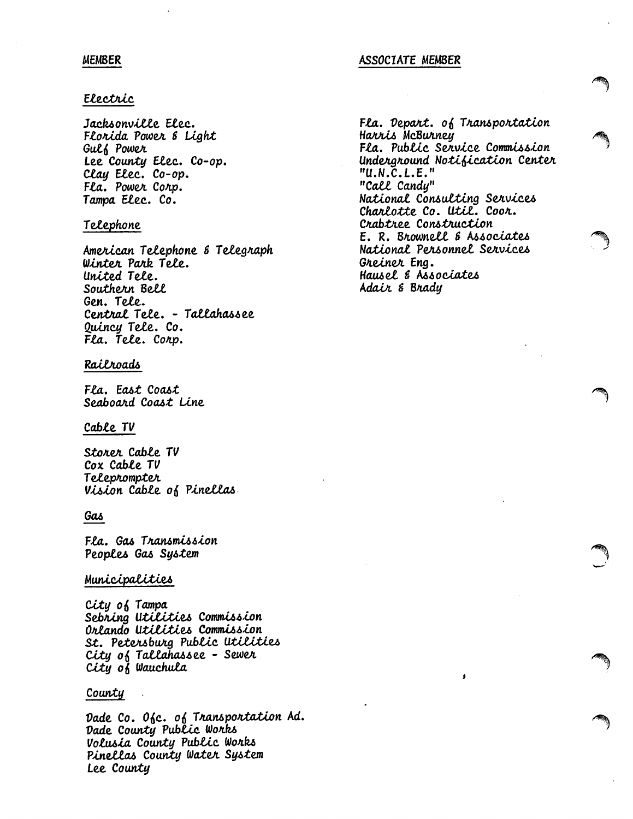## **MEMBER**

# Electric

Jacksonville Elec. Florida Power & Light **Gulf Power** Lee County Elec. Co-op. Clay Elec. Co-op. Fla. Power Corp. Tampa Elec. Co.

# Telephone

American Telephone & Telegraph Winter Park Tele. United Tele. Southern Bell Gen. Tele. Central Tele. - Tallahassee Quincy Tele. Co. Fla. Tele. Corp.

# Railroads

Fla. East Coast Seaboard Coast Line

## Cable TV

Storer Cable TV Cox Cable TV Teleprompter Vision Cable of Pinellas

## Gas

Fla. Gas Transmission Peoples Gas System

## Municipalities

City of Tampa Sebring Utilities Commission Orlando Utilities Commission St. Petersburg Public Utilities City of Tallahassee - Sewer City of Wauchula

## County

Dade Co. Ofc. of Transportation Ad. Dade County Public Works Volusia County Public Works Pinellas County Water System Lee County

## **ASSOCIATE MEMBER**

Fla. Depart.  $o_0$  Transportation Harris McBurney Fla. Public Service Commission Underground Notification Center  $"U.N.C.L.E."$ "Call Candy" National Consulting Services Charlotte Co. Util. Coor. Crabtree Construction E. R. Brownell & Associates National Personnel Services Greiner Eng. Hausel & Associates Adair & Brady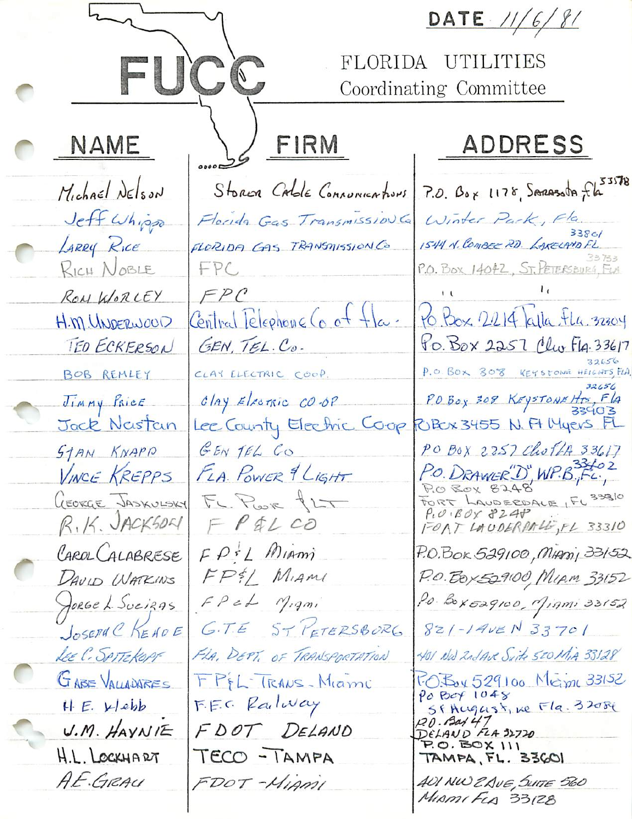|  |                                                                     |                                                           | DATE 11/6/81                                                                                                |
|--|---------------------------------------------------------------------|-----------------------------------------------------------|-------------------------------------------------------------------------------------------------------------|
|  | FUCC                                                                |                                                           | FLORIDA UTILITIES<br>Coordinating Committee                                                                 |
|  | <b>NAME</b>                                                         | FIRM                                                      | ADDRESS                                                                                                     |
|  | Michael Delson                                                      |                                                           | Storin Cable Connunications 7.0. Box 1178, Serassota fla                                                    |
|  | Jeff Whipp<br>LARRY RICE                                            | Florida Gas Transmission G<br>FLORIDA CAS TRANSMISSION CO | Winter Park, Fla.<br>3380/<br>1544 N. COMBEE RD. LAKELAYD FL                                                |
|  | RICH NOBLE                                                          | FPC                                                       | P.O. BOX 14042, ST. PETERSBURG, FLA                                                                         |
|  | ROM WORLEY<br>H.M. UNDERWOOD                                        | FPC<br>Central Telephone Co of fla                        | 10 Box 2214 alla Flu 32304                                                                                  |
|  | TEO ECKERSON                                                        | GEN, TEL. Co.                                             | to Box 2257 Clu F14.33617                                                                                   |
|  | BOB REMLEY<br>Jimmy Price                                           | CLAY ELECTRIC COOP.<br>$clay$ Electric CO-OP              | P.O. BOX 308 KEYSTONE HEIGHTS, FLA.<br>32656<br>POBOX 308 KEYSTONEHTS, FLA                                  |
|  | Jack Newstan                                                        | Lee County Electric Coop RIBOX 3455 N. Ft Myers           |                                                                                                             |
|  | STAN KNAPP<br>VINCE KREPPS<br>GEORGE JASKULSKY<br>$R, 14.$ JACKSOLI | GENTEL CO<br>FLA. POWER 9 LIGHT<br>Fr. Poor fLT           | PO BOX 2257 Choff 33617<br>P.O. DRAWER "D" WP.B.Fc.<br>FORT LAUDERDALE, FL 33810<br>$P_{i}O_{i}BO_{i}Y3240$ |
|  | CAROL CALABRESE<br>DAVID WATKINS                                    | FPILOO<br>$FPIL$ Miami<br>FP&L Miami                      | FORT LAUDERPALLE, FL 33310<br>P.O.Box 529100, MADDI, 33152<br>P.O. Box 529100, MIAM 33152                   |
|  | JORGE L. SuciRAS                                                    | $FP$ et $N_{.}$ qmi                                       | Po. Box529100, Migmi 33152                                                                                  |
|  | JOSEPH C KEHOE                                                      | G.T.E ST PETERSBORG                                       | $8z1 - 14v \epsilon N 33701$                                                                                |
|  | LEE C. SPITZKOPF<br>GABE VALLAUARES                                 | FLA. DEPT. OF TRANSPORTATION<br>FPEL TRANS-Miami          | 401 NW 2nd Ave Suite SCOMIA 33128<br>1:0: Box 529100 Meime 33152<br>Po Box 1048                             |
|  | H. E. Webb<br>$U.M.$ HAYNIE                                         | F.E.C. Railway<br>FDOT DELAND                             | SFAugust, ne Fla. 32084<br>20.8447<br>DELAND FLA 32720                                                      |
|  | H.L. LOCKHART                                                       | TECO - TAMPA                                              | $P.0. BOX$ $111$<br>TAMPA, FL. 33601                                                                        |
|  | A.E.GRAU                                                            | FDOT-MIAMI                                                | AUI NW ZAVE, SUITE 560<br>MIAMIFLA 33128                                                                    |
|  |                                                                     |                                                           |                                                                                                             |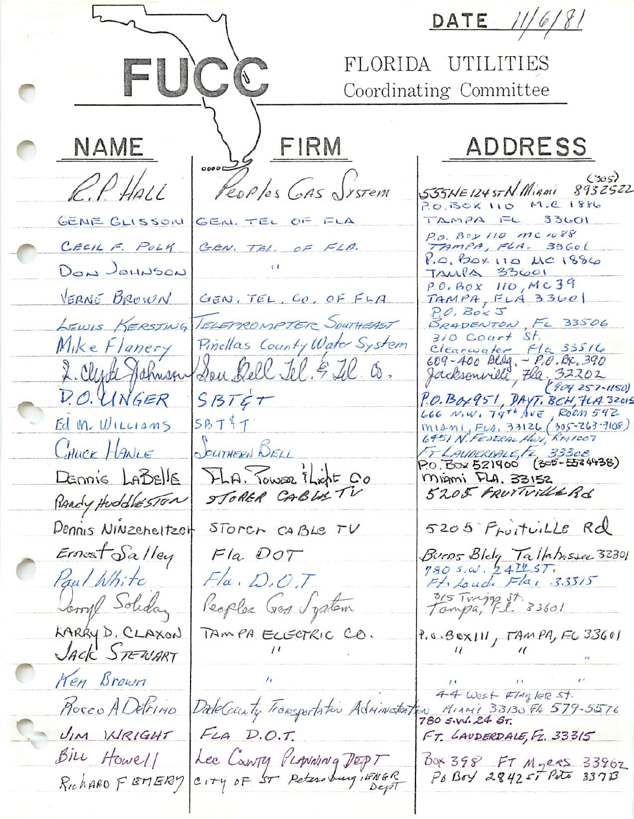DATE  $11/6/81$ FUCC FLORIDA UTILITIES Coordinating Committee FIRM **NAME** ADDRESS  $\frac{1}{2}$ PEOPLES GAS SYSTEM  $(305)$  $PPHall$ 555HE 124 st N. Migail 8932522 P.O. BOX 110 M.C. 1886 GENE GLISSON GEN. TEL OF FLA  $TAMPA$   $FL$  33601 P.O. BOY 110 mc 1088 CECIL F. POLY TAMPA, FLA. 33601 GEN. TEL. OF FLA.  $V_{1}$ , BOX 110 MC 1886 DON JOHNSON TAMPA 33601 P.O. BOX 110, MC39 VERNE BROWN TAMPA, FLA 33601 GEN, TEL. CO. OF FLA  $P.O.$  Box  $J$ LEWIS KERSTING TELEPROMPTER SOUTHEAST BRADENTON, FL 33506  $310$  Coart St. Pinellas County Water System Mike Flanery Clearwater Fla 33516<br>609-400 Blog - P.O. Bx, 390<br>Jacksonwill, Fla., 32202 2. Clyde Hahnsen Son Rell Tel. 5 Tel. Co. D.O. UNGER  $SBTET$ P.O. Box 951, DAYT. BCH, FLA 32015<br>LEE N.W. T9TH AVE, ROOM 542 Ed M. WILLIAMS  $SBT$T$ MIANI, FLA, 33126 (305-263-7108)<br>6451 N. FEDERAL HOY, RAYLOOZ SOUTHERN BELL CHUCK HANLE FT LAUDERDALE, FL 33308<br>P.O. Box 521900 (305-5524938) FLA. Tower *i*Light Co DENNIS LABELS Miami FLA, 33152 STORER CABLE TV 5205 FRUTVille Rd PARTy HuddlesTon Dennis Ninzeneltzer 5205 Proitville Rd STORCH CABLE TV  $E$ rnest Salley  $F1a.$   $DOT$ Burns Blog Tallahessee 32301<br>780 s.w. 241257, Paul White  $Fla, D, OT$ Ft. Loude Fla, 33315 315 Twings St. 33601 Jomy Solidar Reaples Gos Jystem KARRY D. CLAXON TAMPA ECECTRIC CO.  $9.6.8$ ex $111,79$ MPA, FC 33601 Jack STEWART Ken Brown 44 West FlagleR St. DateCounty Transportation Advinator ton Minutes 3313 Ploceo A Delrino MIAMI 33130 FG 579-5576 UM INRIGHT  $F_{LA}$   $D.O.T.$  $FT.$  LAUDERDALE,  $F_2.33315$ Lee County PLANNING DEPT<br>CITY OF ST Petersburg IENGR Bill Howell Box 398 FT Myers 33962<br>Po Boy 284257 Poto 33713 RichARD FEMERY